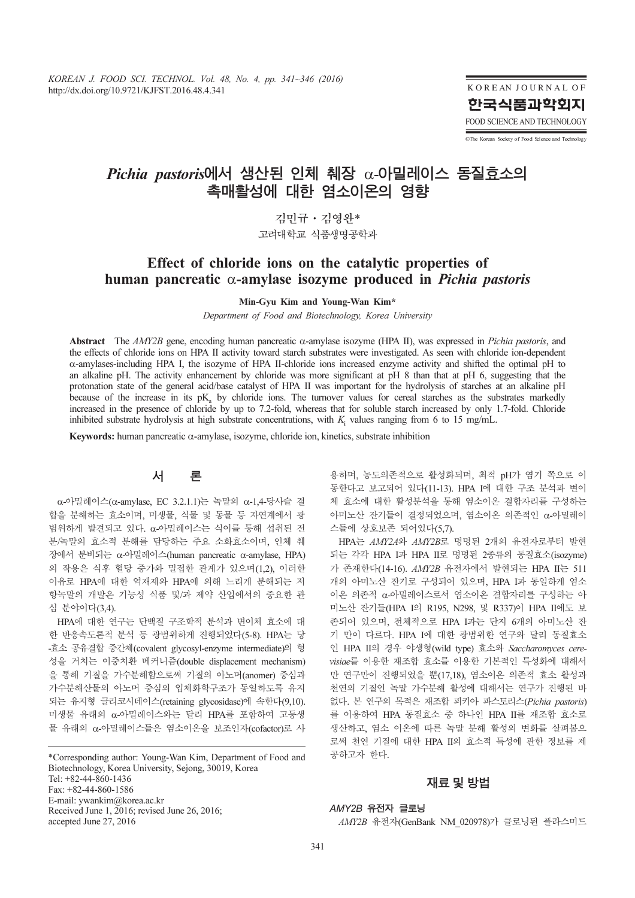KOREAN JOURNAL OF 한국식품과학회지 FOOD SCIENCE AND TECHNOLOGY

CThe Korean Society of Food Science and Technology

# Pichia pastoris에서 생산된 인체 췌장 α-아밀레이스 동질효소의 촉매활성에 대한 염소이온의 영향

김민규·김영완\* 고려대학교 식품생명공학과

## Effect of chloride ions on the catalytic properties of human pancreatic  $\alpha$ -amylase isozyme produced in *Pichia pastoris*

Min-Gyu Kim and Young-Wan Kim\*

Department of Food and Biotechnology, Korea University

Abstract The AMY2B gene, encoding human pancreatic  $\alpha$ -amylase isozyme (HPA II), was expressed in Pichia pastoris, and the effects of chloride ions on HPA II activity toward starch substrates were investigated. As seen with chloride ion-dependent α-amylases-including HPA I, the isozyme of HPA II-chloride ions increased enzyme activity and shifted the optimal pH to an alkaline pH. The activity enhancement by chloride was more significant at pH 8 than that at pH 6, suggesting that the protonation state of the general acid/base catalyst of HPA II was important for the hydrolysis of starches at an alkaline pH because of the increase in its  $pK<sub>a</sub>$  by chloride ions. The turnover values for cereal starches as the substrates markedly increased in the presence of chloride by up to 7.2-fold, whereas that for soluble starch increased by only 1.7-fold. Chloride inhibited substrate hydrolysis at high substrate concentrations, with  $K_i$  values ranging from 6 to 15 mg/mL.

Keywords: human pancreatic α-amylase, isozyme, chloride ion, kinetics, substrate inhibition

## 서 론

α-아밀레이스(α-amylase, EC 3.2.1.1)는 녹말의 α-1,4-당사슬 결 합을 분해하는 효소이며, 미생물, 식물 및 동물 등 자연계에서 광 범위하게 발견되고 있다. α-아밀레이스는 식이를 통해 섭취된 전 분/녹말의 효소적 분해를 담당하는 주요 소화효소이며, 인체 췌 장에서 분비되는 α-아밀레이스(human pancreatic α-amylase, HPA) 의 작용은 식후 혈당 증가와 밀접한 관계가 있으며(1,2), 이러한 이유로 HPA에 대한 억재제와 HPA에 의해 느리게 분해되는 저 항녹말의 개발은 기능성 식품 및/과 제약 산업에서의 중요한 관 심 분야이다(3,4).

HPA에 대한 연구는 단백질 구조학적 분석과 변이체 효소에 대 한 반응속도론적 분석 등 광범위하게 진행되었다(5-8). HPA는 당 -효소 공유결합 중간체(covalent glycosyl-enzyme intermediate)의 형 성을 거치는 이중치환 메커니즘(double displacement mechanism) 을 통해 기질을 가수분해함으로써 기질의 아노머(anomer) 중심과 가수분해산물의 아노머 중심의 입체화학구조가 동일하도록 유지 되는 유지형 글리코시데이스(retaining glycosidase)에 속한다(9,10). 미생물 유래의 α-아밀레이스와는 달리 HPA를 포함하여 고등생 물 유래의 α-아밀레이스들은 염소이온을 보조인자(cofactor)로 사

\*Corresponding author: Young-Wan Kim, Department of Food and Biotechnology, Korea University, Sejong, 30019, Korea Tel: +82-44-860-1436 Fax: +82-44-860-1586 E-mail: ywankim@korea.ac.kr Received June 1, 2016; revised June 26, 2016; accepted June 27, 2016

용하며, 농도의존적으로 활성화되며, 최적 pH가 염기 쪽으로 이 동한다고 보고되어 있다(11-13). HPA I에 대한 구조 분석과 변이 체 효소에 대한 활성분석을 통해 염소이온 결합자리를 구성하는 아미노산 잔기들이 결정되었으며, 염소이온 의존적인 α-아밀레이 스들에 상호보존 되어있다(5,7).

s of<br><br>Califace and *pastoris*<br><br>Califace and *pastoris*<br>dimplement in the content<br>the conduction-dependent<br>the oriental permulic on the permulation of Food Science and alking by only 1.7-fold. Chloride<br>mg/mL.<br>4, 최적 pH가 염기 HPA는 AMY2A와 AMY2B로 명명된 2개의 유전자로부터 발현 되는 각각 HPA I과 HPA II로 명명된 2종류의 동질효소(isozyme) 가 존재한다(14-16). AMY2B 유전자에서 발현되는 HPA II는 511 개의 아미노산 잔기로 구성되어 있으며, HPA I과 동일하게 염소 이온 의존적 α-아밀레이스로서 염소이온 결합자리를 구성하는 아 미노산 잔기들(HPA I의 R195, N298, 및 R337)이 HPA II에도 보 존되어 있으며, 전체적으로 HPA I과는 단지 6개의 아미노산 잔 기 만이 다르다. HPA I에 대한 광범위한 연구와 달리 동질효소 인 HPA II의 경우 야생형(wild type) 효소와 Saccharomyces cerevisiae를 이용한 재조합 효소를 이용한 기본적인 특성화에 대해서 만 연구만이 진행되었을 뿐(17,18), 염소이온 의존적 효소 활성과 천연의 기질인 녹말 가수분해 활성에 대해서는 연구가 진행된 바 없다. 본 연구의 목적은 재조합 피키아 파스토리스(Pichia pastoris) 를 이용하여 HPA 동질효소 중 하나인 HPA II를 재조합 효소로 생산하고, 염소 이온에 따른 녹말 분해 활성의 변화를 살펴봄으 로써 천연 기질에 대한 HPA II의 효소적 특성에 관한 정보를 제 공하고자 한다.

### 재료및방법

#### AMY2B 유전자 클로닝

AMY2B 유전자(GenBank NM\_020978)가 클로닝된 플라스미드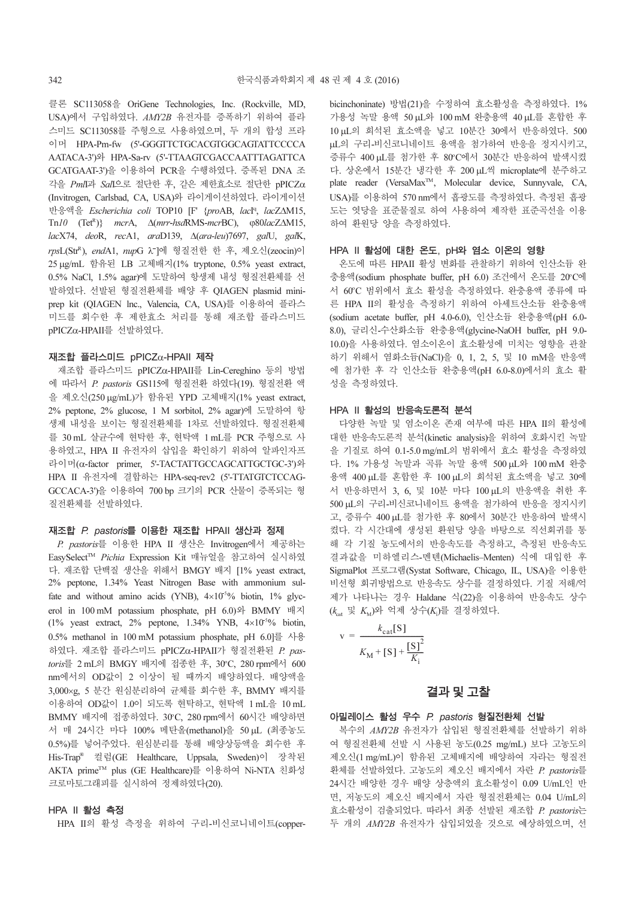클론 SC113058을 OriGene Technologies, Inc. (Rockville, MD, USA)에서 구입하였다. AMY2B 유전자를 증폭하기 위하여 플라 스미드 SC113058를 주형으로 사용하였으며, 두 개의 합성 프라 이머 HPA-Pm-fw (5'-GGGTTCTGCACGTGGCAGTATTCCCCA AATACA-3')와 HPA-Sa-rv (5'-TTAAGTCGACCAATTTAGATTCA GCATGAAT-3')을 이용하여 PCR을 수행하였다. 증폭된 DNA 조 각을 PmlI과 SalI으로 절단한 후, 같은 제한효소로 절단한 pPICZα (Invitrogen, Carlsbad, CA, USA)와 라이게이션하였다. 라이게이션 반응액을 Escherichia coli TOP10 [F' {proAB, lacI<sup>q</sup>, lacZAM15, Tn10 (Tet<sup>R</sup>)} mcrA, Δ(mrr-hsdRMS-mcrBC), φ80lacZΔM15, lacX74, deoR, recA1, araD139, Δ(ara-leu)7697, galU, galK, rpsL(Str<sup>R</sup>), endA1, nupG λ]에 형질전한 한 후, 제오신(zeocin)이 |<br>⊑<br>| 25 μg/mL 함유된 LB 고체배지(1% tryptone, 0.5% yeast extract, 0.5% NaCl, 1.5% agar)에 도말하여 항생제 내성 형질전환체를 선 발하였다. 선발된 형질전환체를 배양 후 QIAGEN plasmid miniprep kit (QIAGEN lnc., Valencia, CA, USA)를 이용하여 플라스 미드를 회수한 후 제한효소 처리를 통해 재조합 플라스미드 pPICZα-HPAII를 선발하였다.

#### 재조합 플라스미드 pPICZα-HPAII 제작

재조합 플라스미드 pPICZα-HPAII를 Lin-Cereghino 등의 방법 에 따라서 P. pastoris GS115에 형질전환 하였다(19). 형질전환 액 을 제오신(250 μg/mL)가 함유된 YPD 고체배지(1% yeast extract, 2% peptone, 2% glucose, 1 M sorbitol, 2% agar)에 도말하여 항 생제 내성을 보이는 형질전환체를 1차로 선발하였다. 형질전환체 를 30 mL 살균수에 현탁한 후, 현탁액 1 mL를 PCR 주형으로 사 용하였고, HPA II 유전자의 삽입을 확인하기 위하여 알파인자프 라이머(α-factor primer, 5'-TACTATTGCCAGCATTGCTGC-3')와 HPA II 유전자에 결합하는 HPA-seq-rev2 (5'-TTATGTCTCCAG-GCCACA-3')을 이용하여 700 bp 크기의 PCR 산물이 증폭되는 형 질전환체를 선발하였다.

#### 재조합 P. pastoris를 이용한 재조합 HPAII 생산과 정제

P. pastoris를 이용한 HPA II 생산은 Invitrogen에서 제공하는 EasySelect™ Pichia Expression Kit 매뉴얼을 참고하여 실시하였 다. 재조합 단백질 생산을 위해서 BMGY 배지 [1% yeast extract, 2% peptone, 1.34% Yeast Nitrogen Base with ammonium sulfate and without amino acids (YNB),  $4\times10^{-5}$ % biotin, 1% glycerol in 100 mM potassium phosphate, pH 6.0)와 BMMY 배지 (1% yeast extract, 2% peptone, 1.34% YNB,  $4\times10^{-5}$ % biotin, 0.5% methanol in 100 mM potassium phosphate, pH 6.0]를 사용 하였다. 재조합 플라스미드 pPICZα-HPAII가 형질전환된  $P$ . pastoris를 2 mL의 BMGY 배지에 접종한 후, 30°C, 280 rpm에서 600 nm에서의 OD값이 2 이상이 될 때까지 배양하였다. 배양액을 3,000×g, 5 분간 원심분리하여 균체를 회수한 후, BMMY 배지를 이용하여 OD값이 1.0이 되도록 현탁하고, 현탁액 1 mL을 10 mL BMMY 배지에 접종하였다. 30°C, 280 rpm에서 60시간 배양하면 서 매 24시간 마다 100% 메탄올(methanol)을 50 μL (최종농도 0.5%)를 넣어주었다. 원심분리를 통해 배양상등액을 회수한 후 His-Trap® 컬럼(GE Healthcare, Uppsala, Sweden)이 장착된 AKTA primeTM plus (GE Healthcare)를 이용하여 Ni-NTA 친화성 크로마토그래피를 실시하여 정제하였다(20).

#### HPA II 활성 측정

HPA II의 활성 측정을 위하여 구리-비신코니네이트(copper-

bicinchoninate) 방법(21)을 수정하여 효소활성을 측정하였다. 1% 가용성 녹말 용액 50 μL와 100 mM 완충용액 40 μL를 혼합한 후 10 μL의 희석된 효소액을 넣고 10분간 30에서 반응하였다. 500 μL의 구리-비신코니네이트 용액을 첨가하여 반응을 정지시키고, 증류수 400 µL를 첨가한 후 80°C에서 30분간 반응하여 발색시켰 다. 상온에서 15분간 냉각한 후 200 μL씩 microplate에 분주하고 plate reader (VersaMax<sup>™</sup>, Molecular device, Sunnyvale, CA, USA)를 이용하여 570 nm에서 흡광도를 측정하였다. 측정된 흡광 도는 엿당을 표준물질로 하여 사용하여 제작한 표준곡선을 이용 하여 환원당 양을 측정하였다.

### HPA II 활성에 대한 온도, pH와 염소 이온의 영향

온도에 따른 HPAII 활성 변화를 관찰하기 위하여 인산소듐 완 충용액(sodium phosphate buffer, pH 6.0) 조건에서 온도를 20°C에 서 60°C 범위에서 효소 활성을 측정하였다. 완충용액 종류에 따 른 HPA II의 활성을 측정하기 위하여 아세트산소듐 완충용액 (sodium acetate buffer, pH 4.0-6.0), 인산소듐 완충용액(pH 6.0- 8.0), 글리신-수산화소듐 완충용액(glycine-NaOH buffer, pH 9.0- 10.0)을 사용하였다. 염소이온이 효소활성에 미치는 영향을 관찰 하기 위해서 염화소듐(NaCl)을 0, 1, 2, 5, 및 10 mM을 반응액 에 첨가한 후 각 인산소듐 완충용액(pH 6.0-8.0)에서의 효소 활 성을 측정하였다.

#### HPA II 활성의 반응속도론적 분석

다양한 녹말 및 염소이온 존재 여부에 따른 HPA II의 활성에 대한 반응속도론적 분석(kinetic analysis)을 위하여 호화시킨 녹말 을 기질로 하여 0.1-5.0 mg/mL의 범위에서 효소 활성을 측정하였 다. 1% 가용성 녹말과 곡류 녹말 용액 500 μL와 100 mM 완충 용액 400 μL를 혼합한 후 100 μL의 희석된 효소액을 넣고 30에 서 반응하면서 3, 6, 및 10분 마다 100 μL의 반응액을 취한 후 500 μL의 구리-비신코니네이트 용액을 첨가하여 반응을 정지시키 고, 증류수 400 μL를 첨가한 후 80에서 30분간 반응하여 발색시 켰다. 각 시간대에 생성된 환원당 양을 바탕으로 직선회귀를 통 해 각 기질 농도에서의 반응속도를 측정하고, 측정된 반응속도 결과값을 미하엘리스-멘텐(Michaelis–Menten) 식에 대입한 후 SigmaPlot 프로그램(Systat Software, Chicago, IL, USA)을 이용한 비선형 회귀방법으로 반응속도 상수를 결정하였다. 기질 저해/억 제가 나타나는 경우 Haldane 식(22)을 이용하여 반응속도 상수  $(k_{\text{\tiny{cat}}}$  및  $K_{\text{\tiny{M}}}$ )와 억제 상수 $(K_i)$ 를 결정하였다.

$$
v = \frac{k_{\text{cat}}[S]}{K_{\text{M}} + [S] + \frac{[S]^2}{K_{\text{i}}}}
$$

#### 결과및고찰

#### 아밀레이스 활성 우수 P. pastoris 형질전환체 선발

복수의 AMY2B 유전자가 삽입된 형질전환체를 선발하기 위하 여 형질전환체 선발 시 사용된 농도(0.25 mg/mL) 보다 고농도의 제오신(1 mg/mL)이 함유된 고체배지에 배양하여 자라는 형질전 환체를 선발하였다. 고농도의 제오신 배지에서 자란 P. pastoris를 24시간 배양한 경우 배양 상층액의 효소활성이 0.09 U/mL인 반 면, 저농도의 제오신 배지에서 자란 형질전환체는 0.04 U/mL의 효소활성이 검출되었다. 따라서 최종 선발된 재조합 P. pastoris는 두 개의 AMY2B 유전자가 삽입되었을 것으로 예상하였으며, 선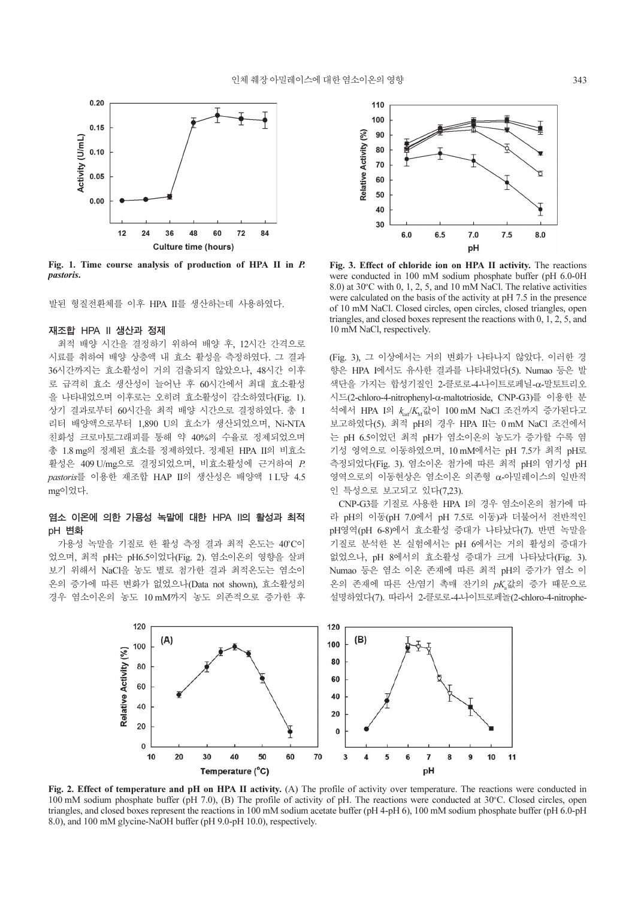

Fig. 1. Time course analysis of production of HPA II in P. pastoris.

발된 형질전환체를 이후 HPA II를 생산하는데 사용하였다.

#### 재조합 HPA II 생산과 정제

최적 배양 시간을 결정하기 위하여 배양 후, 12시간 간격으로 시료를 취하여 배양 상층액 내 효소 활성을 측정하였다. 그 결과 36시간까지는 효소활성이 거의 검출되지 않았으나, 48시간 이후 로 급격히 효소 생산성이 늘어난 후 60시간에서 최대 효소활성 을 나타내었으며 이후로는 오히려 효소활성이 감소하였다(Fig. 1). 상기 결과로부터 60시간을 최적 배양 시간으로 결정하였다. 총 1 리터 배양액으로부터 1,890 U의 효소가 생산되었으며, Ni-NTA 친화성 크로마토그래피를 통해 약 40%의 수율로 정제되었으며 총 1.8 mg의 정제된 효소를 정제하였다. 정제된 HPA II의 비효소 활성은 409 U/mg으로 결정되었으며, 비효소활성에 근거하여 P. pastoris를 이용한 재조합 HAP II의 생산성은 배양액 1L당 4.5 mg이었다.

### 염소 이온에 의한 가용성 녹말에 대한 HPA II의 활성과 최적 pH 변화

가용성 녹말을 기질로 한 활성 측정 결과 최적 온도는 40°C이 었으며, 최적 pH는 pH6.5이었다(Fig. 2). 염소이온의 영향을 살펴 보기 위해서 NaCl을 농도 별로 첨가한 결과 최적온도는 염소이 온의 증가에 따른 변화가 없었으나(Data not shown), 효소활성의 경우 염소이온의 농도 10 mM까지 농도 의존적으로 증가한 후



Fig. 3. Effect of chloride ion on HPA II activity. The reactions were conducted in 100 mM sodium phosphate buffer (pH 6.0-0H 8.0) at  $30^{\circ}$ C with 0, 1, 2, 5, and 10 mM NaCl. The relative activities were calculated on the basis of the activity at pH 7.5 in the presence of 10 mM NaCl. Closed circles, open circles, closed triangles, open triangles, and closed boxes represent the reactions with 0, 1, 2, 5, and 10 mM NaCl, respectively.

(Fig. 3), 그 이상에서는 거의 변화가 나타나지 않았다. 이러한 경 향은 HPA I에서도 유사한 결과를 나타내었다(5). Numao 등은 발 색단을 가지는 합성기질인 2-클로로-4-나이트로페닐-α-말토트리오 시드(2-chloro-4-nitrophenyl-α-maltotrioside, CNP-G3)를 이용한 분 석에서 HPA I의  $k_{\text{cal}}/K_{\text{M}}$ 값이 100 mM NaCl 조건까지 증가된다고 보고하였다(5). 최적 pH의 경우 HPA II는 0 mM NaCl 조건에서 는 pH 6.5이었던 최적 pH가 염소이온의 농도가 증가할 수록 염 기성 영역으로 이동하였으며, 10 mM에서는 pH 7.5가 최적 pH로 측정되었다(Fig. 3). 염소이온 첨가에 따른 최적 pH의 염기성 pH 영역으로의 이동현상은 염소이온 의존형 α-아밀레이스의 일반적 인 특성으로 보고되고 있다(7,23).

CNP-G3를 기질로 사용한 HPA I의 경우 염소이온의 첨가에 따 라 pH의 이동(pH 7.0에서 pH 7.5로 이동)과 더불어서 전반적인 pH영역(pH 6-8)에서 효소활성 증대가 나타났다(7). 반면 녹말을 기질로 분석한 본 실험에서는 pH 6에서는 거의 활성의 증대가 없었으나, pH 8에서의 효소활성 증대가 크게 나타났다(Fig. 3). Numao 등은 염소 이온 존재에 따른 최적 pH의 증가가 염소 이 온의 존재에 따른 산/염기 촉매 잔기의 pK 값의 증가 때문으로 설명하였다(7). 따라서 2-클로로-4-나이트로페놀(2-chloro-4-nitrophe-



Fig. 2. Effect of temperature and pH on HPA II activity. (A) The profile of activity over temperature. The reactions were conducted in 100 mM sodium phosphate buffer (pH 7.0), (B) The profile of activity of pH. The reactions were conducted at  $30^{\circ}$ C. Closed circles, open triangles, and closed boxes represent the reactions in 100 mM sodium acetate buffer (pH 4-pH 6), 100 mM sodium phosphate buffer (pH 6.0-pH 8.0), and 100 mM glycine-NaOH buffer (pH 9.0-pH 10.0), respectively.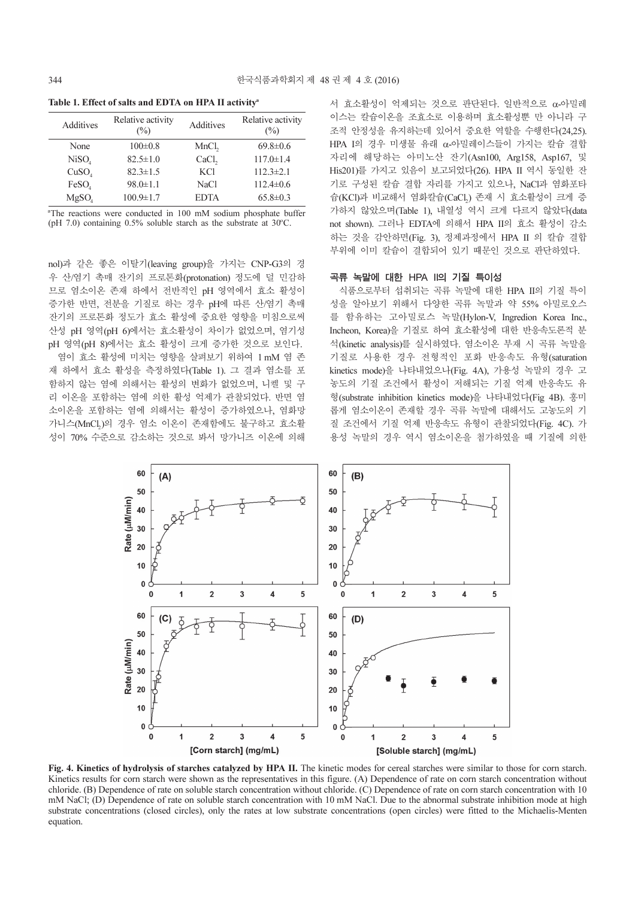Table 1. Effect of salts and EDTA on HPA II activity<sup>a</sup>

| <b>Additives</b>  | Relative activity<br>$(\%)$ | Additives         | Relative activity<br>$(\%)$ |
|-------------------|-----------------------------|-------------------|-----------------------------|
| None              | $100 \pm 0.8$               | MnCl <sub>2</sub> | $69.8 \pm 0.6$              |
| NiSO <sub>4</sub> | $82.5 \pm 1.0$              | CaCl <sub>2</sub> | $117.0 \pm 1.4$             |
| CuSO <sub>4</sub> | $82.3 \pm 1.5$              | <b>KCl</b>        | $112.3 \pm 2.1$             |
| FeSO <sub>4</sub> | $98.0 \pm 1.1$              | <b>NaCl</b>       | $112.4 \pm 0.6$             |
| MgSO <sub>4</sub> | $100.9 \pm 1.7$             | <b>EDTA</b>       | $65.8 \pm 0.3$              |

a The reactions were conducted in 100 mM sodium phosphate buffer (pH 7.0) containing  $0.5\%$  soluble starch as the substrate at 30°C.

nol)과 같은 좋은 이탈기(leaving group)을 가지는 CNP-G3의 경 우 산/염기 촉매 잔기의 프로톤화(protonation) 정도에 덜 민감하 므로 염소이온 존재 하에서 전반적인 pH 영역에서 효소 활성이 증가한 반면, 전분을 기질로 하는 경우 pH에 따른 산/염기 촉매 잔기의 프로톤화 정도가 효소 활성에 중요한 영향을 미침으로써 산성 pH 영역(pH 6)에서는 효소활성이 차이가 없었으며, 염기성 pH 영역(pH 8)에서는 효소 활성이 크게 증가한 것으로 보인다. 염이 효소 활성에 미치는 영향을 살펴보기 위하여 1 mM 염 존 재 하에서 효소 활성을 측정하였다(Table 1). 그 결과 염소를 포 함하지 않는 염에 의해서는 활성의 변화가 없었으며, 니켈 및 구 리 이온을 포함하는 염에 의한 활성 억제가 관찰되었다. 반면 염 소이온을 포함하는 염에 의해서는 활성이 증가하였으나, 염화망 가니스(MnCl,)의 경우 염소 이온이 존재함에도 불구하고 효소활 성이 70% 수준으로 감소하는 것으로 봐서 망가니즈 이온에 의해 서 효소활성이 억제되는 것으로 판단된다. 일반적으로 α-아밀레 이스는 칼슘이온을 조효소로 이용하며 효소활성뿐 만 아니라 구 조적 안정성을 유지하는데 있어서 중요한 역할을 수행한다(24,25). HPA I의 경우 미생물 유래 α-아밀레이스들이 가지는 칼슘 결합 자리에 해당하는 아미노산 잔기(Asn100, Arg158, Asp167, 및 His201)를 가지고 있음이 보고되었다(26). HPA II 역시 동일한 잔 기로 구성된 칼슘 결합 자리를 가지고 있으나, NaCl과 염화포타 <sup>슘</sup>(KCl)<sup>과</sup> <sup>비</sup>교해서 염화칼슘(CaCl2) 존재 <sup>시</sup> 효소활성이 크게 <sup>증</sup> 가하지 않았으며(Table 1), 내열성 역시 크게 다르지 않았다(data not shown). 그러나 EDTA에 의해서 HPA II의 효소 활성이 감소 하는 것을 감안하면(Fig. 3), 정제과정에서 HPA II 의 칼슘 결합 부위에 이미 칼슘이 결합되어 있기 때문인 것으로 판단하였다.

#### 곡류 녹말에 대한 HPA II의 기질 특이성

식품으로부터 섭취되는 곡류 녹말에 대한 HPA II의 기질 특이 성을 알아보기 위해서 다양한 곡류 녹말과 약 55% 아밀로오스 를 함유하는 고아밀로스 녹말(Hylon-V, Ingredion Korea Inc., Incheon, Korea)을 기질로 하여 효소활성에 대한 반응속도론적 분 석(kinetic analysis)를 실시하였다. 염소이온 부재 시 곡류 녹말을 기질로 사용한 경우 전형적인 포화 반응속도 유형(saturation kinetics mode)을 나타내었으나(Fig. 4A), 가용성 녹말의 경우 고 농도의 기질 조건에서 활성이 저해되는 기질 억제 반응속도 유 형(substrate inhibition kinetics mode)을 나타내었다(Fig 4B). 흥미 롭게 염소이온이 존재할 경우 곡류 녹말에 대해서도 고농도의 기 질 조건에서 기질 억제 반응속도 유형이 관찰되었다(Fig. 4C). 가 용성 녹말의 경우 역시 염소이온을 첨가하였을 때 기질에 의한



Fig. 4. Kinetics of hydrolysis of starches catalyzed by HPA II. The kinetic modes for cereal starches were similar to those for corn starch. Kinetics results for corn starch were shown as the representatives in this figure. (A) Dependence of rate on corn starch concentration without chloride. (B) Dependence of rate on soluble starch concentration without chloride. (C) Dependence of rate on corn starch concentration with 10 mM NaCl; (D) Dependence of rate on soluble starch concentration with 10 mM NaCl. Due to the abnormal substrate inhibition mode at high substrate concentrations (closed circles), only the rates at low substrate concentrations (open circles) were fitted to the Michaelis-Menten equation.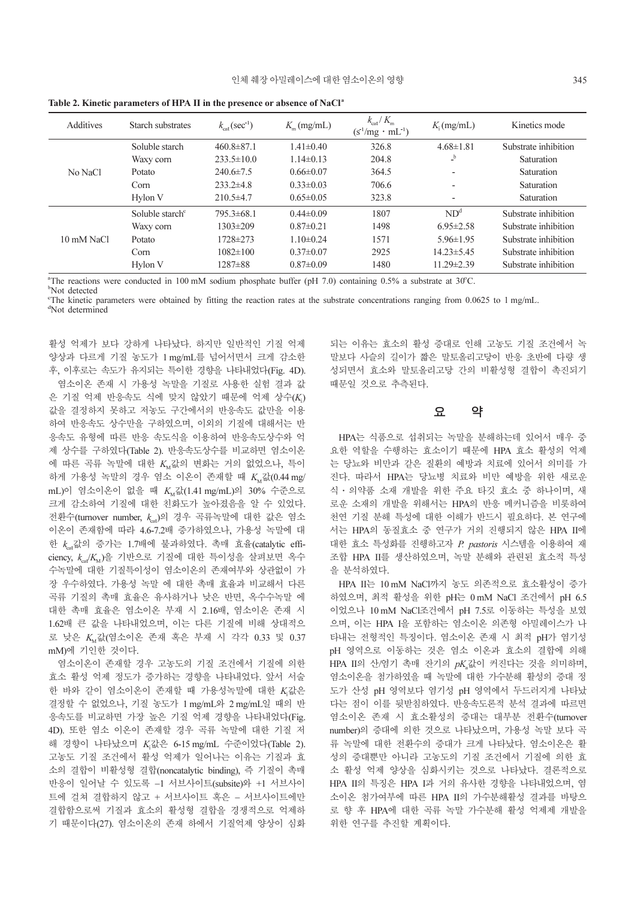| <b>Additives</b> | Starch substrates           | $k_{\text{cat}}(\text{sec}^{\perp})$ | $K_{\rm m}$ (mg/mL) | $k_{\text{cat}}/K_{\text{m}}$<br>$(s1/mg \cdot mL1)$ | K <sub>i</sub> (mg/mL) | Kinetics mode        |
|------------------|-----------------------------|--------------------------------------|---------------------|------------------------------------------------------|------------------------|----------------------|
| No NaCl          | Soluble starch              | $460.8 \pm 87.1$                     | $1.41 \pm 0.40$     | 326.8                                                | $4.68 \pm 1.81$        | Substrate inhibition |
|                  | Waxy corn                   | $233.5 \pm 10.0$                     | $1.14\pm0.13$       | 204.8                                                | b                      | Saturation           |
|                  | Potato                      | $240.6 \pm 7.5$                      | $0.66 \pm 0.07$     | 364.5                                                | ٠                      | Saturation           |
|                  | Corn                        | $233.2\pm4.8$                        | $0.33 \pm 0.03$     | 706.6                                                | ٠                      | Saturation           |
|                  | Hylon V                     | $210.5 \pm 4.7$                      | $0.65 \pm 0.05$     | 323.8                                                | $\qquad \qquad$        | Saturation           |
| 10 mM NaCl       | Soluble starch <sup>c</sup> | $795.3\pm 68.1$                      | $0.44\pm0.09$       | 1807                                                 | ND <sup>d</sup>        | Substrate inhibition |
|                  | Waxy corn                   | $1303 \pm 209$                       | $0.87 \pm 0.21$     | 1498                                                 | $6.95 \pm 2.58$        | Substrate inhibition |
|                  | Potato                      | 1728±273                             | $1.10\pm0.24$       | 1571                                                 | $5.96 \pm 1.95$        | Substrate inhibition |
|                  | Corn                        | $1082 \pm 100$                       | $0.37 \pm 0.07$     | 2925                                                 | 14.23±5.45             | Substrate inhibition |
|                  | Hylon V                     | $1287\pm88$                          | $0.87 \pm 0.09$     | 1480                                                 | 11.29±2.39             | Substrate inhibition |

Table 2. Kinetic parameters of HPA II in the presence or absence of NaCl<sup>a</sup>

"The reactions were conducted in 100 mM sodium phosphate buffer (pH 7.0) containing 0.5% a substrate at 30°C.

b Not detected

The kinetic parameters were obtained by fitting the reaction rates at the substrate concentrations ranging from 0.0625 to 1 mg/mL.

d Not determined

활성 억제가 보다 강하게 나타났다. 하지만 일반적인 기질 억제 양상과 다르게 기질 농도가 1 mg/mL를 넘어서면서 크게 감소한 후, 이후로는 속도가 유지되는 특이한 경향을 나타내었다(Fig. 4D). 염소이온 존재 시 가용성 녹말을 기질로 사용한 실험 결과 값 은 기질 억제 반응속도 식에 맞지 않았기 때문에 억제 상수(K<sub>i</sub>) 값을 결정하지 못하고 저농도 구간에서의 반응속도 값만을 이용 하여 반응속도 상수만을 구하였으며, 이외의 기질에 대해서는 반 응속도 유형에 따른 반응 속도식을 이용하여 반응속도상수와 억 제 상수를 구하였다(Table 2). 반응속도상수를 비교하면 염소이온 에 따른 곡류 녹말에 대한 K<sub>M</sub>값의 변화는 거의 없었으나, 특이 하게 가용성 녹말의 경우 염소 이온이 존재할 때  $K_{\text{M}}$ 값 $(0.44 \text{ mg})$ mL)이 염소이온이 없을 때  $K_{\text{M}}$ 값(1.41 mg/mL)의 30% 수준으로 크게 감소하여 기질에 대한 친화도가 높아졌음을 알 수 있었다. 전환수(turnover number,  $k_{c}$ )의 경우 곡류녹말에 대한 값은 염소 이온이 존재함에 따라 4.6-7.2배 증가하였으나, 가용성 녹말에 대 한  $k_{n}$ 값의 증가는 1.7배에 불과하였다. 촉매 효율(catalytic efficiency,  $k_{ca}/K_M$ )을 기반으로 기질에 대한 특이성을 살펴보면 옥수 수녹말에 대한 기질특이성이 염소이온의 존재여부와 상관없이 가 장 우수하였다. 가용성 녹말 에 대한 촉매 효율과 비교해서 다른 곡류 기질의 촉매 효율은 유사하거나 낮은 반면, 옥수수녹말 에 대한 촉매 효율은 염소이온 부재 시 2.16배, 염소이온 존재 시 1.62배 큰 값을 나타내었으며, 이는 다른 기질에 비해 상대적으 <sup>로</sup> <sup>낮</sup><sup>은</sup> <sup>K</sup>M값(염소이온 존재 <sup>혹</sup><sup>은</sup> 부재 <sup>시</sup> 각각 0.33 및 0.37 mM)에 기인한 것이다.

염소이온이 존재할 경우 고농도의 기질 조건에서 기질에 의한 효소 활성 억제 정도가 증가하는 경향을 나타내었다. 앞서 서술 한 바와 같이 염소이온이 존재할 때 가용성녹말에 대한 K<sub>i</sub>값은 결정할 수 없었으나, 기질 농도가 1 mg/mL와 2 mg/mL일 때의 반 응속도를 비교하면 가장 높은 기질 억제 경향을 나타내었다(Fig. 4D). 또한 염소 이온이 존재할 경우 곡류 녹말에 대한 기질 저 <sup>해</sup> 경향이 <sup>나</sup>타났으며 <sup>K</sup><sup>i</sup> 값은 6-15 mg/mL 수준이었다(Table 2). 고농도 기질 조건에서 활성 억제가 일어나는 이유는 기질과 효 소의 결합이 비활성형 결합(noncatalytic binding), 즉 기질이 촉매 반응이 일어날 수 있도록 −1 서브사이트(subsite)와 +1 서브사이 트에 걸쳐 결합하지 않고 + 서브사이트 혹은 − 서브사이트에만 결합함으로써 기질과 효소의 활성형 결합을 경쟁적으로 억제하 기 때문이다(27). 염소이온의 존재 하에서 기질억제 양상이 심화 되는 이유는 효소의 활성 증대로 인해 고농도 기질 조건에서 녹 말보다 사슬의 길이가 짧은 말토올리고당이 반응 초반에 다량 생 성되면서 효소와 말토올리고당 간의 비활성형 결합이 촉진되기 때문일 것으로 추측된다.

### 요 약

HPA는 식품으로 섭취되는 녹말을 분해하는데 있어서 매우 중 요한 역할을 수행하는 효소이기 때문에 HPA 효소 활성의 억제 는 당뇨와 비만과 같은 질환의 예방과 치료에 있어서 의미를 가 진다. 따라서 HPA는 당뇨병 치료와 비만 예방을 위한 새로운 식·의약품 소재 개발을 위한 주요 타깃 효소 중 하나이며, 새 로운 소재의 개발을 위해서는 HPA의 반응 메커니즘을 비롯하여 천연 기질 분해 특성에 대한 이해가 반드시 필요하다. 본 연구에 서는 HPA의 동질효소 중 연구가 거의 진행되지 않은 HPA II에 대한 효소 특성화를 진행하고자 P. pastoris 시스템을 이용하여 재 조합 HPA II를 생산하였으며, 녹말 분해와 관련된 효소적 특성 을 분석하였다.

HPA II는 10 mM NaCl까지 농도 의존적으로 효소활성이 증가 하였으며, 최적 활성을 위한 pH는 0 mM NaCl 조건에서 pH 6.5 이었으나 10 mM NaCl조건에서 pH 7.5로 이동하는 특성을 보였 으며, 이는 HPA I을 포함하는 염소이온 의존형 아밀레이스가 나 타내는 전형적인 특징이다. 염소이온 존재 시 최적 pH가 염기성 pH 영역으로 이동하는 것은 염소 이온과 효소의 결합에 의해 HPA II의 산/염기 촉매 잔기의  $pK_a$ 값이 커진다는 것을 의미하며, 염소이온을 첨가하였을 때 녹말에 대한 가수분해 활성의 증대 정 도가 산성 pH 영역보다 염기성 pH 영역에서 두드러지게 나타났 다는 점이 이를 뒷받침하였다. 반응속도론적 분석 결과에 따르면 염소이온 존재 시 효소활성의 증대는 대부분 전환수(turnover number)의 증대에 의한 것으로 나타났으며, 가용성 녹말 보다 곡 류 녹말에 대한 전환수의 증대가 크게 나타났다. 염소이온은 활 성의 증대뿐만 아니라 고농도의 기질 조건에서 기질에 의한 효 소 활성 억제 양상을 심화시키는 것으로 나타났다. 결론적으로 HPA II의 특징은 HPA I과 거의 유사한 경향을 나타내었으며, 염 소이온 첨가여부에 따른 HPA II의 가수분해활성 결과를 바탕으 로 향 후 HPA에 대한 곡류 녹말 가수분해 활성 억제제 개발을 위한 연구를 추진할 계획이다.